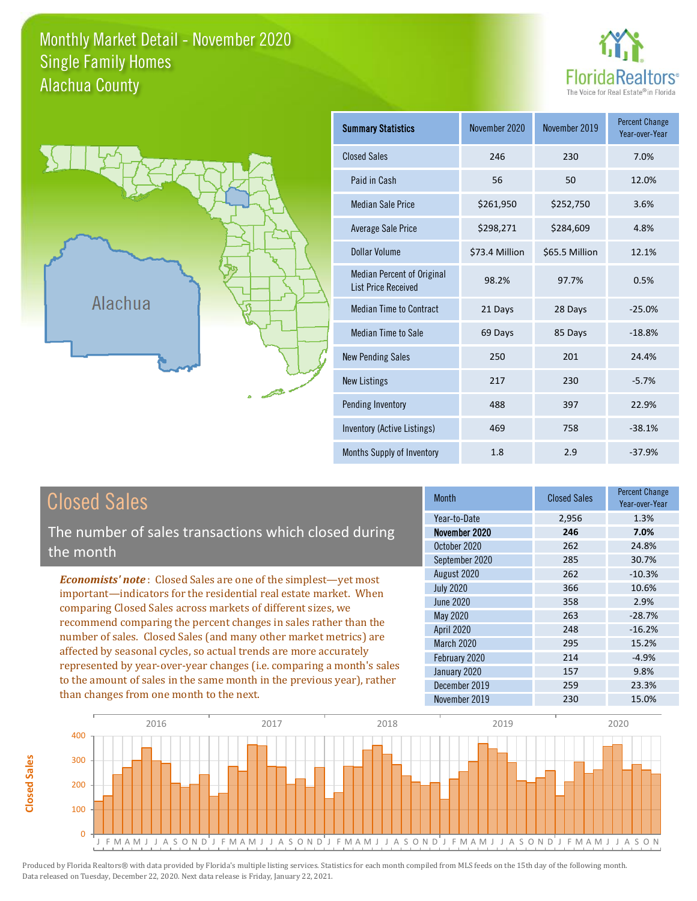# Monthly Market Detail - November 2020 Alachua County Single Family Homes





**Closed Sales**

**Closed Sales** 

| <b>Summary Statistics</b>                                       | November 2020  | November 2019  | <b>Percent Change</b><br>Year-over-Year |
|-----------------------------------------------------------------|----------------|----------------|-----------------------------------------|
| <b>Closed Sales</b>                                             | 246            | 230            | 7.0%                                    |
| Paid in Cash                                                    | 56             | 50             | 12.0%                                   |
| <b>Median Sale Price</b>                                        | \$261,950      | \$252,750      | 3.6%                                    |
| Average Sale Price                                              | \$298,271      | \$284,609      | 4.8%                                    |
| Dollar Volume                                                   | \$73.4 Million | \$65.5 Million | 12.1%                                   |
| <b>Median Percent of Original</b><br><b>List Price Received</b> | 98.2%          | 97.7%          | 0.5%                                    |
| <b>Median Time to Contract</b>                                  | 21 Days        | 28 Days        | $-25.0%$                                |
| <b>Median Time to Sale</b>                                      | 69 Days        | 85 Days        | $-18.8%$                                |
| <b>New Pending Sales</b>                                        | 250            | 201            | 24.4%                                   |
| <b>New Listings</b>                                             | 217            | 230            | $-5.7%$                                 |
| Pending Inventory                                               | 488            | 397            | 22.9%                                   |
| Inventory (Active Listings)                                     | 469            | 758            | $-38.1%$                                |
| Months Supply of Inventory                                      | 1.8            | 2.9            | $-37.9%$                                |

| <b>Closed Sales</b>                                                                                                                                                                                                                                                                                                                                                                                                       | <b>Month</b>                                                    | <b>Closed Sales</b>        | <b>Percent Change</b><br>Year-over-Year |
|---------------------------------------------------------------------------------------------------------------------------------------------------------------------------------------------------------------------------------------------------------------------------------------------------------------------------------------------------------------------------------------------------------------------------|-----------------------------------------------------------------|----------------------------|-----------------------------------------|
| The number of sales transactions which closed during<br>the month                                                                                                                                                                                                                                                                                                                                                         | Year-to-Date<br>November 2020<br>October 2020<br>September 2020 | 2,956<br>246<br>262<br>285 | 1.3%<br>7.0%<br>24.8%<br>30.7%          |
| <b>Economists' note:</b> Closed Sales are one of the simplest—yet most<br>important—indicators for the residential real estate market. When<br>comparing Closed Sales across markets of different sizes, we<br>recommend comparing the percent changes in sales rather than the<br>number of sales. Closed Sales (and many other market metrics) are<br>affected by seasonal cycles, so actual trends are more accurately | August 2020<br><b>July 2020</b><br>June 2020                    | 262<br>366<br>358          | $-10.3%$<br>10.6%<br>2.9%               |
|                                                                                                                                                                                                                                                                                                                                                                                                                           | May 2020<br>April 2020<br><b>March 2020</b>                     | 263<br>248<br>295          | $-28.7%$<br>$-16.2%$<br>15.2%           |
| represented by year-over-year changes (i.e. comparing a month's sales<br>to the amount of sales in the same month in the previous year), rather<br>than changes from one month to the next.                                                                                                                                                                                                                               | February 2020<br>January 2020<br>December 2019<br>November 2019 | 214<br>157<br>259<br>230   | $-4.9%$<br>9.8%<br>23.3%<br>15.0%       |

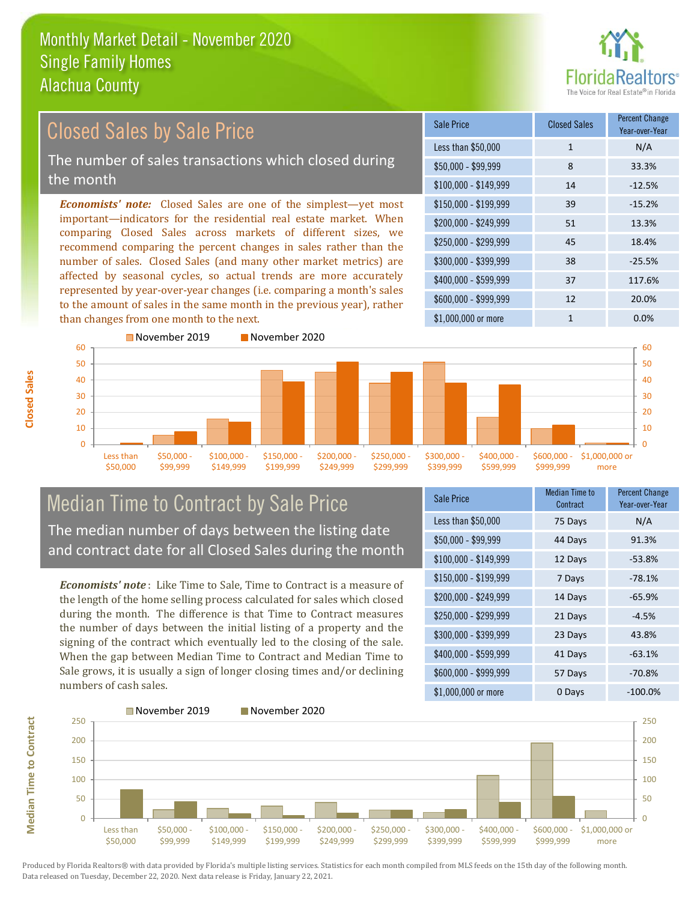

#### $$100,000 - $149,999$  14 -12.5% Sale Price Closed Sales Percent Change Year-over-Year Less than \$50,000 1 1 N/A \$50,000 - \$99,999 8 33.3% \$150,000 - \$199,999 39 -15.2% \$200,000 - \$249,999 51 13.3% \$400,000 - \$599,999 37 117.6% \$600,000 - \$999,999 12 20.0% *Economists' note:* Closed Sales are one of the simplest—yet most important—indicators for the residential real estate market. When comparing Closed Sales across markets of different sizes, we recommend comparing the percent changes in sales rather than the number of sales. Closed Sales (and many other market metrics) are affected by seasonal cycles, so actual trends are more accurately represented by year-over-year changes (i.e. comparing a month's sales to the amount of sales in the same month in the previous year), rather than changes from one month to the next. \$1,000,000 or more 1 0.0% \$250,000 - \$299,999 45 18.4% \$300,000 - \$399,999 38 -25.5% 50 60 November 2019 November 2020 50 60 Closed Sales by Sale Price The number of sales transactions which closed during the month



# Median Time to Contract by Sale Price The median number of days between the listing date and contract date for all Closed Sales during the month

*Economists' note* : Like Time to Sale, Time to Contract is a measure of the length of the home selling process calculated for sales which closed during the month. The difference is that Time to Contract measures the number of days between the initial listing of a property and the signing of the contract which eventually led to the closing of the sale. When the gap between Median Time to Contract and Median Time to Sale grows, it is usually a sign of longer closing times and/or declining numbers of cash sales.

| Sale Price            | <b>Median Time to</b><br>Contract | <b>Percent Change</b><br>Year-over-Year |
|-----------------------|-----------------------------------|-----------------------------------------|
| Less than \$50,000    | 75 Days                           | N/A                                     |
| $$50,000 - $99,999$   | 44 Days                           | 91.3%                                   |
| $$100,000 - $149,999$ | 12 Days                           | $-53.8%$                                |
| $$150,000 - $199,999$ | 7 Days                            | $-78.1%$                                |
| \$200,000 - \$249,999 | 14 Days                           | $-65.9%$                                |
| \$250,000 - \$299,999 | 21 Days                           | $-4.5%$                                 |
| \$300,000 - \$399,999 | 23 Days                           | 43.8%                                   |
| \$400,000 - \$599,999 | 41 Days                           | $-63.1%$                                |
| \$600,000 - \$999,999 | 57 Days                           | $-70.8%$                                |
| \$1,000,000 or more   | 0 Days                            | -100.0%                                 |



**Closed Sales**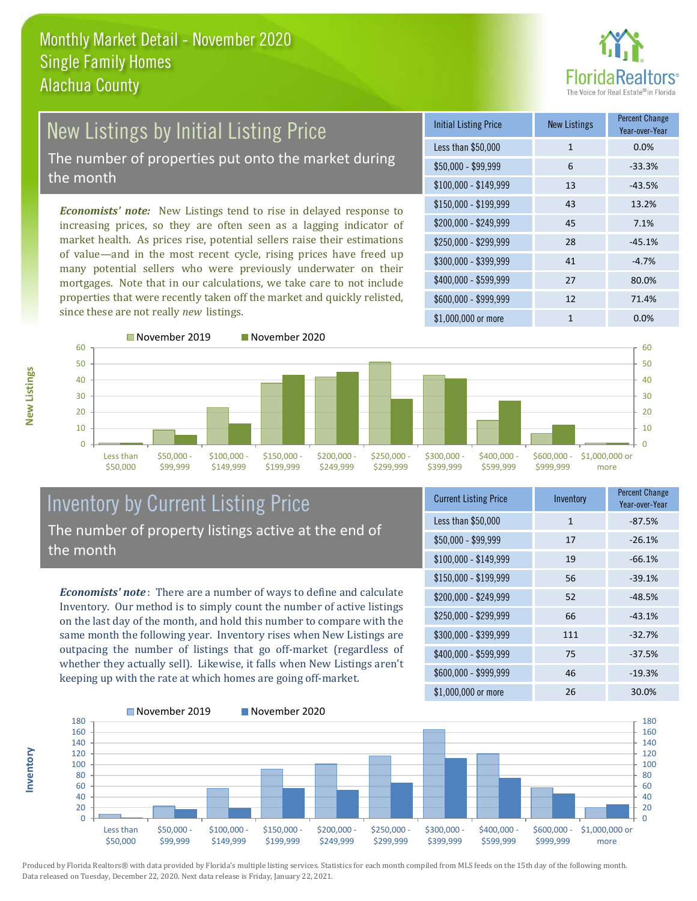

#### New Listings by Initial Listing Price The number of properties put onto the market during the month

*Economists' note:* New Listings tend to rise in delayed response to increasing prices, so they are often seen as a lagging indicator of market health. As prices rise, potential sellers raise their estimations of value—and in the most recent cycle, rising prices have freed up many potential sellers who were previously underwater on their mortgages. Note that in our calculations, we take care to not include properties that were recently taken off the market and quickly relisted, since these are not really *new* listings.

| <b>Initial Listing Price</b> | <b>New Listings</b> | <b>Percent Change</b><br>Year-over-Year |
|------------------------------|---------------------|-----------------------------------------|
| Less than \$50,000           | $\mathbf{1}$        | 0.0%                                    |
| $$50,000 - $99,999$          | 6                   | $-33.3%$                                |
| $$100,000 - $149,999$        | 13                  | $-43.5%$                                |
| $$150,000 - $199,999$        | 43                  | 13.2%                                   |
| \$200,000 - \$249,999        | 45                  | 7.1%                                    |
| \$250,000 - \$299,999        | 28                  | $-45.1%$                                |
| \$300,000 - \$399,999        | 41                  | $-4.7%$                                 |
| \$400,000 - \$599,999        | 27                  | 80.0%                                   |
| \$600,000 - \$999,999        | 12                  | 71.4%                                   |
| \$1,000,000 or more          | 1                   | $0.0\%$                                 |



# Inventory by Current Listing Price The number of property listings active at the end of the month

*Economists' note* : There are a number of ways to define and calculate Inventory. Our method is to simply count the number of active listings on the last day of the month, and hold this number to compare with the same month the following year. Inventory rises when New Listings are outpacing the number of listings that go off-market (regardless of whether they actually sell). Likewise, it falls when New Listings aren't keeping up with the rate at which homes are going off-market.

| <b>Current Listing Price</b> | Inventory | <b>Percent Change</b><br>Year-over-Year |
|------------------------------|-----------|-----------------------------------------|
| Less than \$50,000           | 1         | $-87.5%$                                |
| $$50,000 - $99,999$          | 17        | $-26.1%$                                |
| $$100,000 - $149,999$        | 19        | $-66.1%$                                |
| $$150,000 - $199,999$        | 56        | $-39.1%$                                |
| \$200,000 - \$249,999        | 52        | $-48.5%$                                |
| \$250,000 - \$299,999        | 66        | $-43.1%$                                |
| \$300,000 - \$399,999        | 111       | $-32.7%$                                |
| \$400,000 - \$599,999        | 75        | $-37.5%$                                |
| \$600,000 - \$999,999        | 46        | $-19.3%$                                |
| \$1,000,000 or more          | 26        | 30.0%                                   |



Produced by Florida Realtors® with data provided by Florida's multiple listing services. Statistics for each month compiled from MLS feeds on the 15th day of the following month. Data released on Tuesday, December 22, 2020. Next data release is Friday, January 22, 2021.

**Inventory**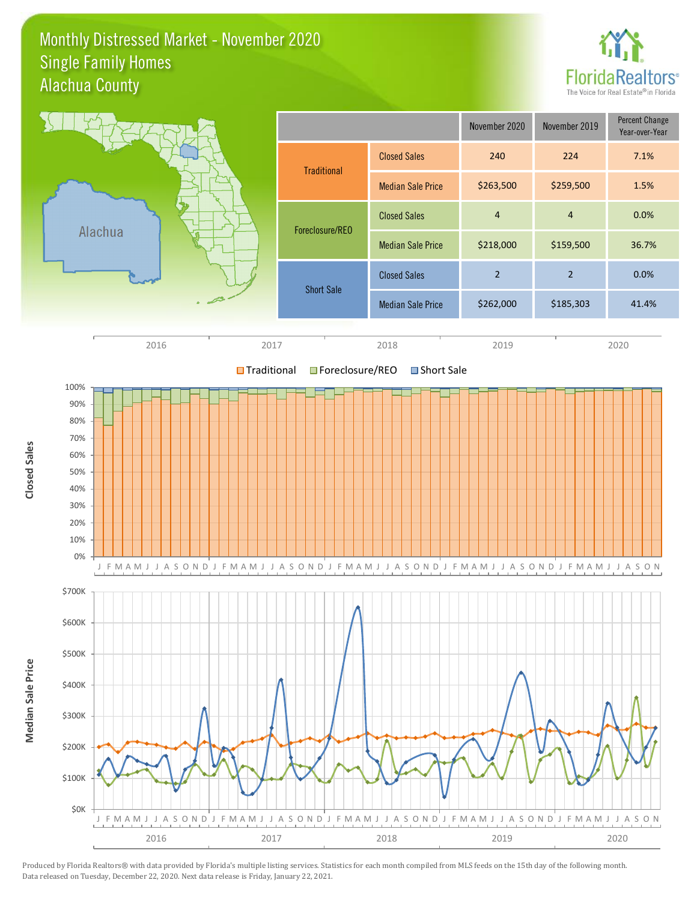#### Monthly Distressed Market - November 2020 Alachua County Single Family Homes



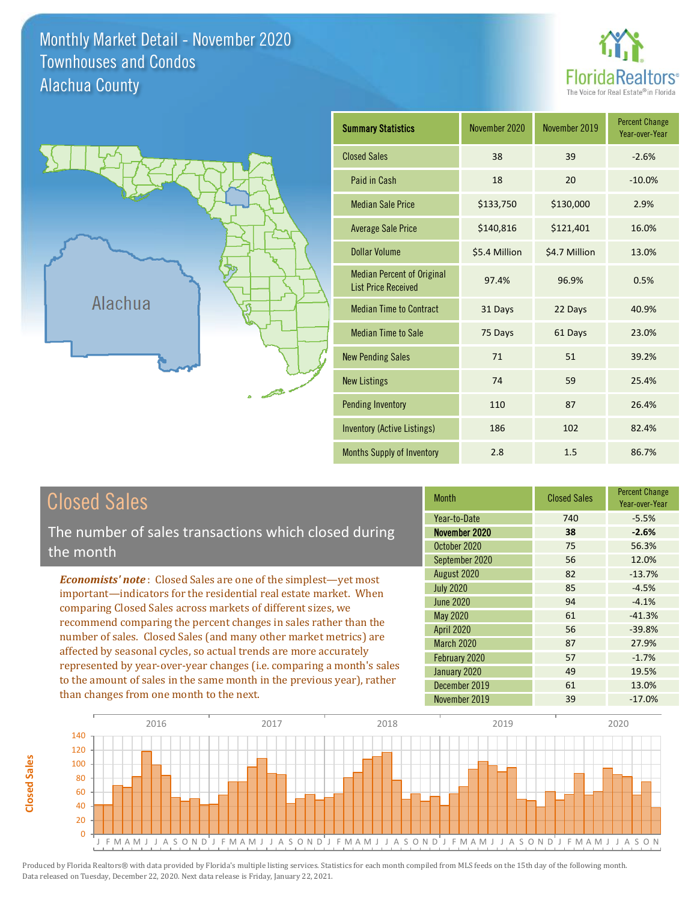Monthly Market Detail - November 2020 Alachua County Townhouses and Condos





| <b>Summary Statistics</b>                                       | November 2020 | November 2019 | <b>Percent Change</b><br>Year-over-Year |
|-----------------------------------------------------------------|---------------|---------------|-----------------------------------------|
| <b>Closed Sales</b>                                             | 38            | 39            | $-2.6%$                                 |
| Paid in Cash                                                    | 18            | 20            | $-10.0%$                                |
| <b>Median Sale Price</b>                                        | \$133,750     | \$130,000     | 2.9%                                    |
| <b>Average Sale Price</b>                                       | \$140,816     | \$121,401     | 16.0%                                   |
| <b>Dollar Volume</b>                                            | \$5.4 Million | \$4.7 Million | 13.0%                                   |
| <b>Median Percent of Original</b><br><b>List Price Received</b> | 97.4%         | 96.9%         | 0.5%                                    |
| <b>Median Time to Contract</b>                                  | 31 Days       | 22 Days       | 40.9%                                   |
| <b>Median Time to Sale</b>                                      | 75 Days       | 61 Days       | 23.0%                                   |
| <b>New Pending Sales</b>                                        | 71            | 51            | 39.2%                                   |
| <b>New Listings</b>                                             | 74            | 59            | 25.4%                                   |
| <b>Pending Inventory</b>                                        | 110           | 87            | 26.4%                                   |
| <b>Inventory (Active Listings)</b>                              | 186           | 102           | 82.4%                                   |
| Months Supply of Inventory                                      | 2.8           | 1.5           | 86.7%                                   |

The number of sales transactions which closed during the month

*Economists' note* : Closed Sales are one of the simplest—yet most important—indicators for the residential real estate market. When comparing Closed Sales across markets of different sizes, we recommend comparing the percent changes in sales rather than the number of sales. Closed Sales (and many other market metrics) are affected by seasonal cycles, so actual trends are more accurately represented by year-over-year changes (i.e. comparing a month's sales to the amount of sales in the same month in the previous year), rather than changes from one month to the next.

| <b>Month</b>      | <b>Closed Sales</b> | <b>Percent Change</b><br>Year-over-Year |
|-------------------|---------------------|-----------------------------------------|
| Year-to-Date      | 740                 | $-5.5%$                                 |
| November 2020     | 38                  | $-2.6%$                                 |
| October 2020      | 75                  | 56.3%                                   |
| September 2020    | 56                  | 12.0%                                   |
| August 2020       | 82                  | $-13.7%$                                |
| <b>July 2020</b>  | 85                  | $-4.5%$                                 |
| <b>June 2020</b>  | 94                  | $-4.1%$                                 |
| <b>May 2020</b>   | 61                  | $-41.3%$                                |
| April 2020        | 56                  | $-39.8%$                                |
| <b>March 2020</b> | 87                  | 27.9%                                   |
| February 2020     | 57                  | $-1.7%$                                 |
| January 2020      | 49                  | 19.5%                                   |
| December 2019     | 61                  | 13.0%                                   |
| November 2019     | 39                  | $-17.0%$                                |

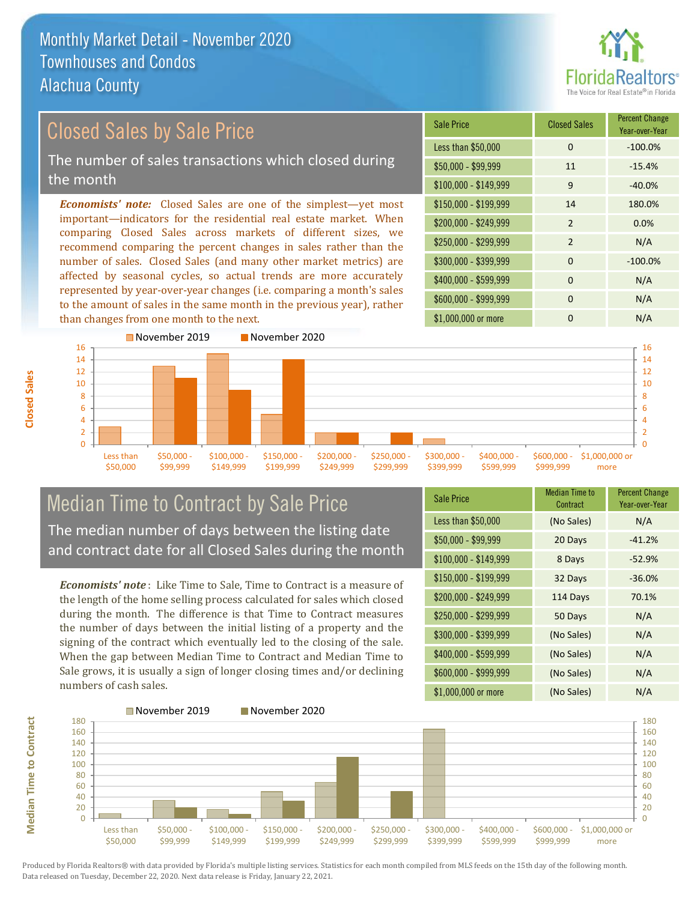

# *Economists' note:* Closed Sales are one of the simplest—yet most Closed Sales by Sale Price The number of sales transactions which closed during the month

important—indicators for the residential real estate market. When comparing Closed Sales across markets of different sizes, we recommend comparing the percent changes in sales rather than the number of sales. Closed Sales (and many other market metrics) are affected by seasonal cycles, so actual trends are more accurately represented by year-over-year changes (i.e. comparing a month's sales to the amount of sales in the same month in the previous year), rather than changes from one month to the next.





# Median Time to Contract by Sale Price The median number of days between the listing date and contract date for all Closed Sales during the month

*Economists' note* : Like Time to Sale, Time to Contract is a measure of the length of the home selling process calculated for sales which closed during the month. The difference is that Time to Contract measures the number of days between the initial listing of a property and the signing of the contract which eventually led to the closing of the sale. When the gap between Median Time to Contract and Median Time to Sale grows, it is usually a sign of longer closing times and/or declining numbers of cash sales.

| Sale Price            | <b>Median Time to</b><br>Contract | <b>Percent Change</b><br>Year-over-Year |
|-----------------------|-----------------------------------|-----------------------------------------|
| Less than \$50,000    | (No Sales)                        | N/A                                     |
| $$50,000 - $99,999$   | 20 Days                           | $-41.2%$                                |
| $$100,000 - $149,999$ | 8 Days                            | $-52.9%$                                |
| $$150,000 - $199,999$ | 32 Days                           | $-36.0%$                                |
| \$200,000 - \$249,999 | 114 Days                          | 70.1%                                   |
| \$250,000 - \$299,999 | 50 Days                           | N/A                                     |
| \$300,000 - \$399,999 | (No Sales)                        | N/A                                     |
| \$400,000 - \$599,999 | (No Sales)                        | N/A                                     |
| \$600,000 - \$999,999 | (No Sales)                        | N/A                                     |
| \$1,000,000 or more   | (No Sales)                        | N/A                                     |

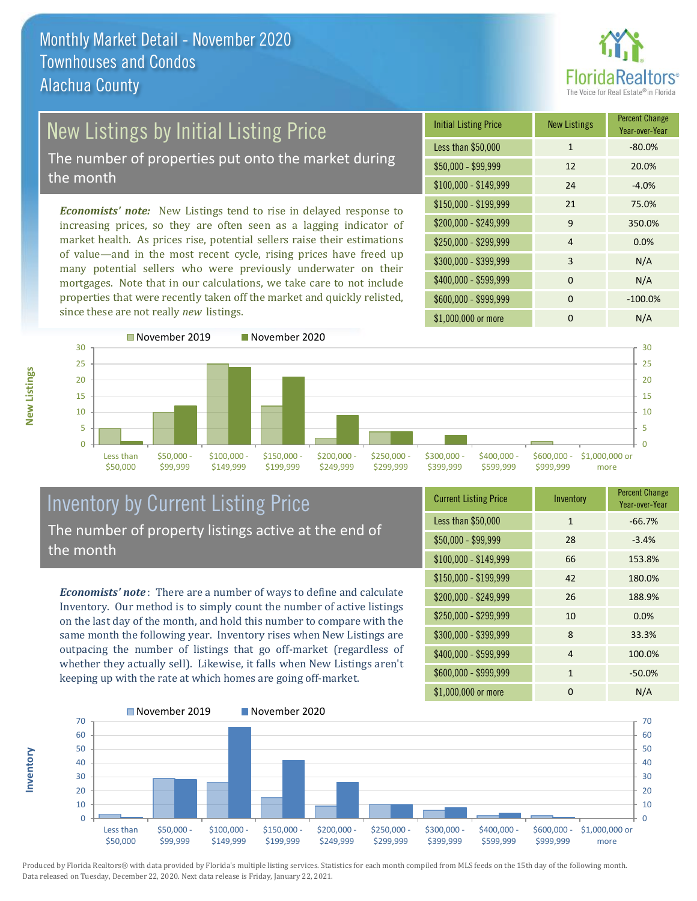

# New Listings by Initial Listing Price

The number of properties put onto the market during the month

*Economists' note:* New Listings tend to rise in delayed response to increasing prices, so they are often seen as a lagging indicator of market health. As prices rise, potential sellers raise their estimations of value—and in the most recent cycle, rising prices have freed up many potential sellers who were previously underwater on their mortgages. Note that in our calculations, we take care to not include properties that were recently taken off the market and quickly relisted, since these are not really *new* listings.

| <b>Initial Listing Price</b> | <b>New Listings</b> | <b>Percent Change</b><br>Year-over-Year |
|------------------------------|---------------------|-----------------------------------------|
| Less than \$50,000           | $\mathbf{1}$        | $-80.0%$                                |
| $$50,000 - $99,999$          | 12                  | 20.0%                                   |
| $$100,000 - $149,999$        | 24                  | $-4.0%$                                 |
| \$150,000 - \$199,999        | 21                  | 75.0%                                   |
| \$200,000 - \$249,999        | 9                   | 350.0%                                  |
| \$250,000 - \$299,999        | $\overline{4}$      | 0.0%                                    |
| \$300,000 - \$399,999        | 3                   | N/A                                     |
| \$400,000 - \$599,999        | $\Omega$            | N/A                                     |
| \$600,000 - \$999,999        | $\Omega$            | $-100.0%$                               |
| \$1,000,000 or more          | ŋ                   | N/A                                     |



# Inventory by Current Listing Price The number of property listings active at the end of the month

*Economists' note* : There are a number of ways to define and calculate Inventory. Our method is to simply count the number of active listings on the last day of the month, and hold this number to compare with the same month the following year. Inventory rises when New Listings are outpacing the number of listings that go off-market (regardless of whether they actually sell). Likewise, it falls when New Listings aren't keeping up with the rate at which homes are going off-market.

**Inventory**

**New Listings**

| <b>Current Listing Price</b> | Inventory    | <b>Percent Change</b><br>Year-over-Year |
|------------------------------|--------------|-----------------------------------------|
| Less than \$50,000           | $\mathbf{1}$ | $-66.7%$                                |
| $$50,000 - $99,999$          | 28           | $-3.4%$                                 |
| $$100,000 - $149,999$        | 66           | 153.8%                                  |
| $$150,000 - $199,999$        | 42           | 180.0%                                  |
| \$200,000 - \$249,999        | 26           | 188.9%                                  |
| \$250,000 - \$299,999        | 10           | 0.0%                                    |
| \$300,000 - \$399,999        | 8            | 33.3%                                   |
| \$400,000 - \$599,999        | 4            | 100.0%                                  |
| \$600,000 - \$999,999        | $\mathbf{1}$ | $-50.0%$                                |
| \$1,000,000 or more          | 0            | N/A                                     |

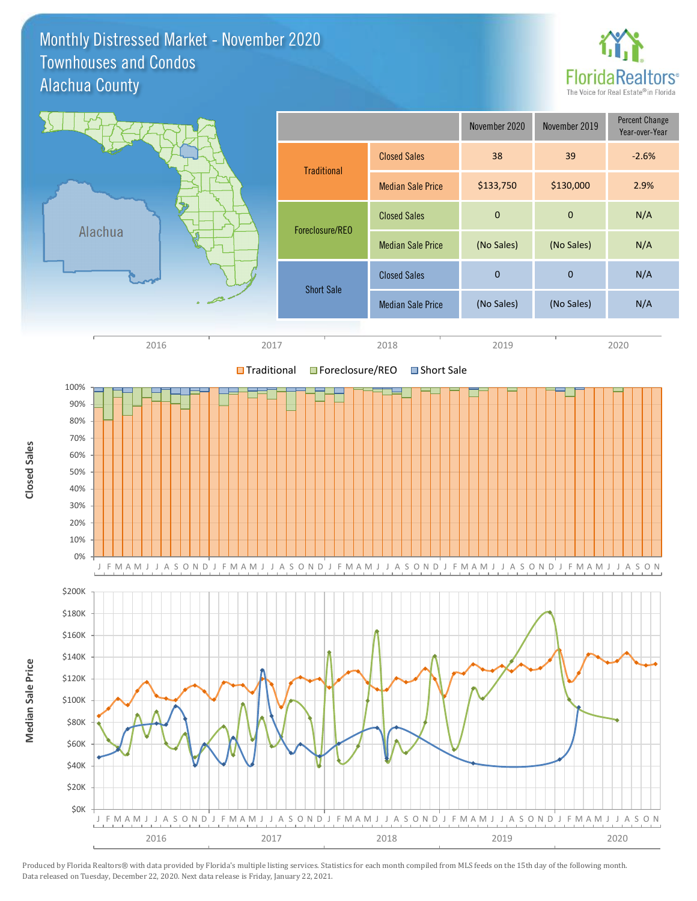#### Monthly Distressed Market - November 2020 Alachua County Townhouses and Condos



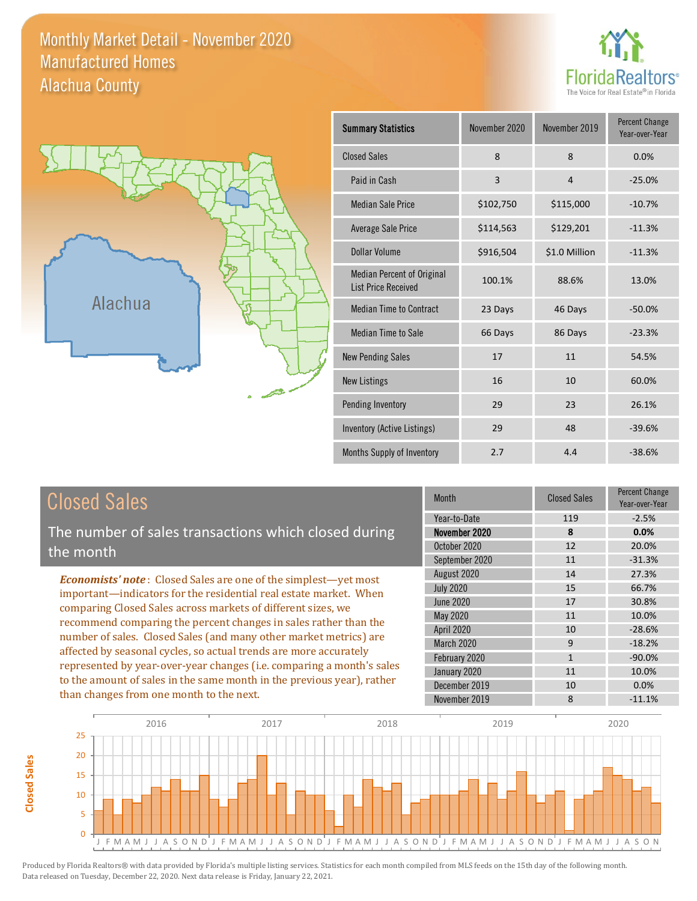### Monthly Market Detail - November 2020 Alachua County Manufactured Homes





**Closed Sales**

**Closed Sales** 

| <b>Summary Statistics</b>                                       | November 2020 | November 2019 | <b>Percent Change</b><br>Year-over-Year |
|-----------------------------------------------------------------|---------------|---------------|-----------------------------------------|
| <b>Closed Sales</b>                                             | 8             | 8             | 0.0%                                    |
| Paid in Cash                                                    | 3             | 4             | $-25.0%$                                |
| <b>Median Sale Price</b>                                        | \$102,750     | \$115,000     | $-10.7%$                                |
| <b>Average Sale Price</b>                                       | \$114,563     | \$129,201     | $-11.3%$                                |
| Dollar Volume                                                   | \$916,504     | \$1.0 Million | $-11.3%$                                |
| <b>Median Percent of Original</b><br><b>List Price Received</b> | 100.1%        | 88.6%         | 13.0%                                   |
| <b>Median Time to Contract</b>                                  | 23 Days       | 46 Days       | $-50.0%$                                |
| <b>Median Time to Sale</b>                                      | 66 Days       | 86 Days       | $-23.3%$                                |
| <b>New Pending Sales</b>                                        | 17            | 11            | 54.5%                                   |
| <b>New Listings</b>                                             | 16            | 10            | 60.0%                                   |
| Pending Inventory                                               | 29            | 23            | 26.1%                                   |
| Inventory (Active Listings)                                     | 29            | 48            | $-39.6%$                                |
| Months Supply of Inventory                                      | 2.7           | 4.4           | $-38.6%$                                |

| <b>Closed Sales</b>                                                                                                                                                                                                                                                                                                                                                                                                                                                                                                                                                                                                      | <b>Month</b>                                                     | <b>Closed Sales</b>           | <b>Percent Change</b><br>Year-over-Year    |
|--------------------------------------------------------------------------------------------------------------------------------------------------------------------------------------------------------------------------------------------------------------------------------------------------------------------------------------------------------------------------------------------------------------------------------------------------------------------------------------------------------------------------------------------------------------------------------------------------------------------------|------------------------------------------------------------------|-------------------------------|--------------------------------------------|
| The number of sales transactions which closed during<br>the month                                                                                                                                                                                                                                                                                                                                                                                                                                                                                                                                                        | Year-to-Date<br>November 2020<br>October 2020<br>September 2020  | 119<br>8<br>12<br>11          | $-2.5%$<br>0.0%<br>20.0%<br>$-31.3%$       |
| <b>Economists' note:</b> Closed Sales are one of the simplest—yet most<br>important-indicators for the residential real estate market. When<br>comparing Closed Sales across markets of different sizes, we<br>recommend comparing the percent changes in sales rather than the<br>number of sales. Closed Sales (and many other market metrics) are<br>affected by seasonal cycles, so actual trends are more accurately<br>represented by year-over-year changes (i.e. comparing a month's sales<br>to the amount of sales in the same month in the previous year), rather<br>than changes from one month to the next. | August 2020<br><b>July 2020</b><br>June 2020<br>May 2020         | 14<br>15<br>17<br>11          | 27.3%<br>66.7%<br>30.8%<br>10.0%           |
|                                                                                                                                                                                                                                                                                                                                                                                                                                                                                                                                                                                                                          | <b>April 2020</b><br>March 2020<br>February 2020<br>January 2020 | 10<br>9<br>$\mathbf{1}$<br>11 | $-28.6%$<br>$-18.2%$<br>$-90.0\%$<br>10.0% |
|                                                                                                                                                                                                                                                                                                                                                                                                                                                                                                                                                                                                                          | December 2019<br>November 2019                                   | 10<br>8                       | 0.0%<br>$-11.1%$                           |

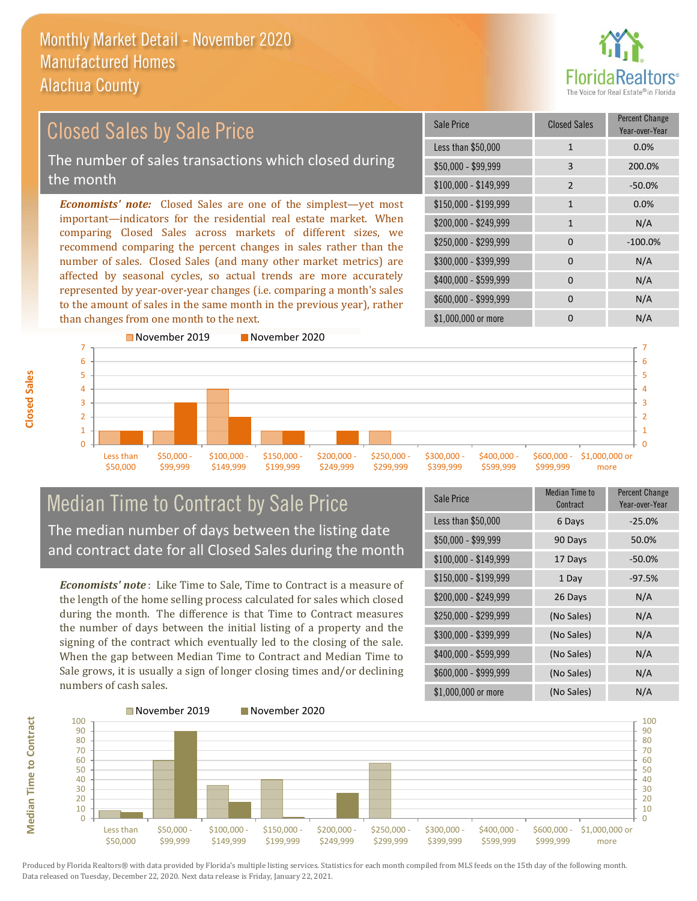

#### \$100,000 - \$149,999 2 -50.0% Sale Price Closed Sales Percent Change Year-over-Year Less than \$50,000 1 1 0.0% \$50,000 - \$99,999 3 200.0% \$150,000 - \$199,999 1 0.0%  $$200.000 - $249.999$  1 N/A  $$400,000 - $599,999$  0 N/A \$600,000 - \$999,999 0 0 N/A *Economists' note:* Closed Sales are one of the simplest—yet most important—indicators for the residential real estate market. When comparing Closed Sales across markets of different sizes, we recommend comparing the percent changes in sales rather than the number of sales. Closed Sales (and many other market metrics) are affected by seasonal cycles, so actual trends are more accurately represented by year-over-year changes (i.e. comparing a month's sales to the amount of sales in the same month in the previous year), rather than changes from one month to the next. \$1,000,000 or more 0 0 N/A \$250,000 - \$299,999 0 -100.0% \$300,000 - \$399,999 0 0 N/A November 2019 November 2020 Closed Sales by Sale Price The number of sales transactions which closed during the month



# Median Time to Contract by Sale Price The median number of days between the listing date and contract date for all Closed Sales during the month

*Economists' note* : Like Time to Sale, Time to Contract is a measure of the length of the home selling process calculated for sales which closed during the month. The difference is that Time to Contract measures the number of days between the initial listing of a property and the signing of the contract which eventually led to the closing of the sale. When the gap between Median Time to Contract and Median Time to Sale grows, it is usually a sign of longer closing times and/or declining numbers of cash sales.

| Sale Price            | <b>Median Time to</b><br>Contract | <b>Percent Change</b><br>Year-over-Year |
|-----------------------|-----------------------------------|-----------------------------------------|
| Less than \$50,000    | 6 Days                            | $-25.0%$                                |
| $$50,000 - $99,999$   | 90 Days                           | 50.0%                                   |
| $$100,000 - $149,999$ | 17 Days                           | $-50.0\%$                               |
| $$150,000 - $199,999$ | 1 Day                             | $-97.5%$                                |
| \$200,000 - \$249,999 | 26 Days                           | N/A                                     |
| \$250,000 - \$299,999 | (No Sales)                        | N/A                                     |
| \$300,000 - \$399,999 | (No Sales)                        | N/A                                     |
| \$400,000 - \$599,999 | (No Sales)                        | N/A                                     |
| \$600,000 - \$999,999 | (No Sales)                        | N/A                                     |
| \$1,000,000 or more   | (No Sales)                        | N/A                                     |



**Closed Sales**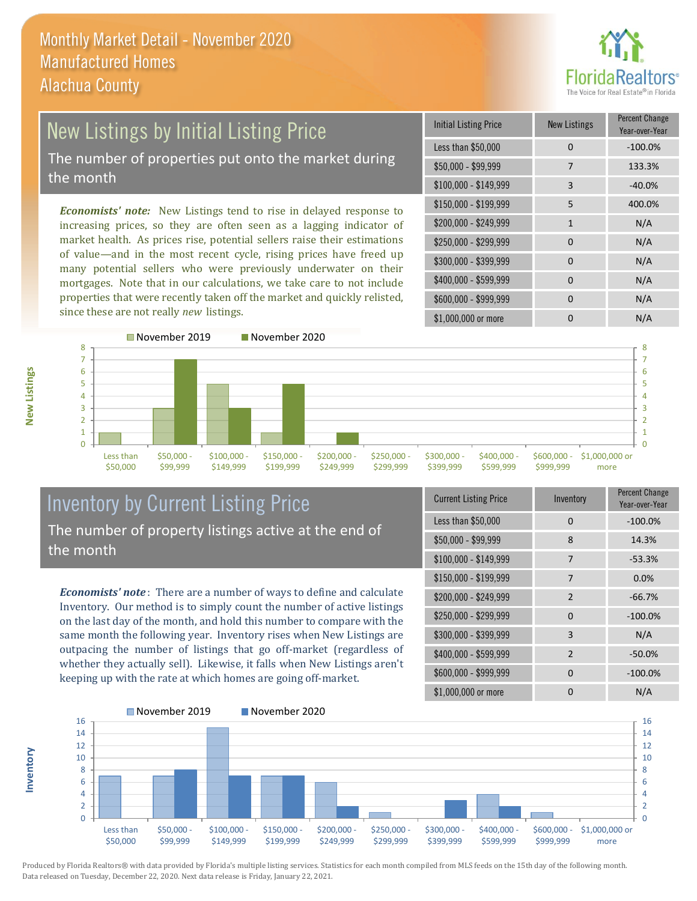

# New Listings by Initial Listing Price The number of properties put onto the market during the month

*Economists' note:* New Listings tend to rise in delayed response to increasing prices, so they are often seen as a lagging indicator of market health. As prices rise, potential sellers raise their estimations of value—and in the most recent cycle, rising prices have freed up many potential sellers who were previously underwater on their mortgages. Note that in our calculations, we take care to not include properties that were recently taken off the market and quickly relisted, since these are not really *new* listings.

| <b>Initial Listing Price</b> | <b>New Listings</b> | <b>Percent Change</b><br>Year-over-Year |
|------------------------------|---------------------|-----------------------------------------|
| Less than \$50,000           | $\Omega$            | $-100.0%$                               |
| \$50,000 - \$99,999          | 7                   | 133.3%                                  |
| $$100,000 - $149,999$        | 3                   | $-40.0%$                                |
| $$150,000 - $199,999$        | 5                   | 400.0%                                  |
| \$200,000 - \$249,999        | $\mathbf{1}$        | N/A                                     |
| \$250,000 - \$299,999        | $\Omega$            | N/A                                     |
| \$300,000 - \$399,999        | $\Omega$            | N/A                                     |
| \$400,000 - \$599,999        | $\Omega$            | N/A                                     |
| \$600,000 - \$999,999        | $\Omega$            | N/A                                     |
| \$1,000,000 or more          | n                   | N/A                                     |



## Inventory by Current Listing Price The number of property listings active at the end of the month

*Economists' note* : There are a number of ways to define and calculate Inventory. Our method is to simply count the number of active listings on the last day of the month, and hold this number to compare with the same month the following year. Inventory rises when New Listings are outpacing the number of listings that go off-market (regardless of whether they actually sell). Likewise, it falls when New Listings aren't keeping up with the rate at which homes are going off-market.

| <b>Current Listing Price</b> | Inventory      | Percent Change<br>Year-over-Year |
|------------------------------|----------------|----------------------------------|
| Less than \$50,000           | 0              | $-100.0%$                        |
| $$50,000 - $99,999$          | 8              | 14.3%                            |
| $$100,000 - $149,999$        | 7              | $-53.3%$                         |
| $$150,000 - $199,999$        | 7              | 0.0%                             |
| \$200,000 - \$249,999        | $\overline{2}$ | $-66.7%$                         |
| \$250,000 - \$299,999        | 0              | $-100.0%$                        |
| \$300,000 - \$399,999        | 3              | N/A                              |
| \$400,000 - \$599,999        | $\overline{2}$ | $-50.0%$                         |
| \$600,000 - \$999,999        | $\Omega$       | $-100.0%$                        |
| \$1,000,000 or more          | O              | N/A                              |



Produced by Florida Realtors® with data provided by Florida's multiple listing services. Statistics for each month compiled from MLS feeds on the 15th day of the following month. Data released on Tuesday, December 22, 2020. Next data release is Friday, January 22, 2021.

**Inventory**